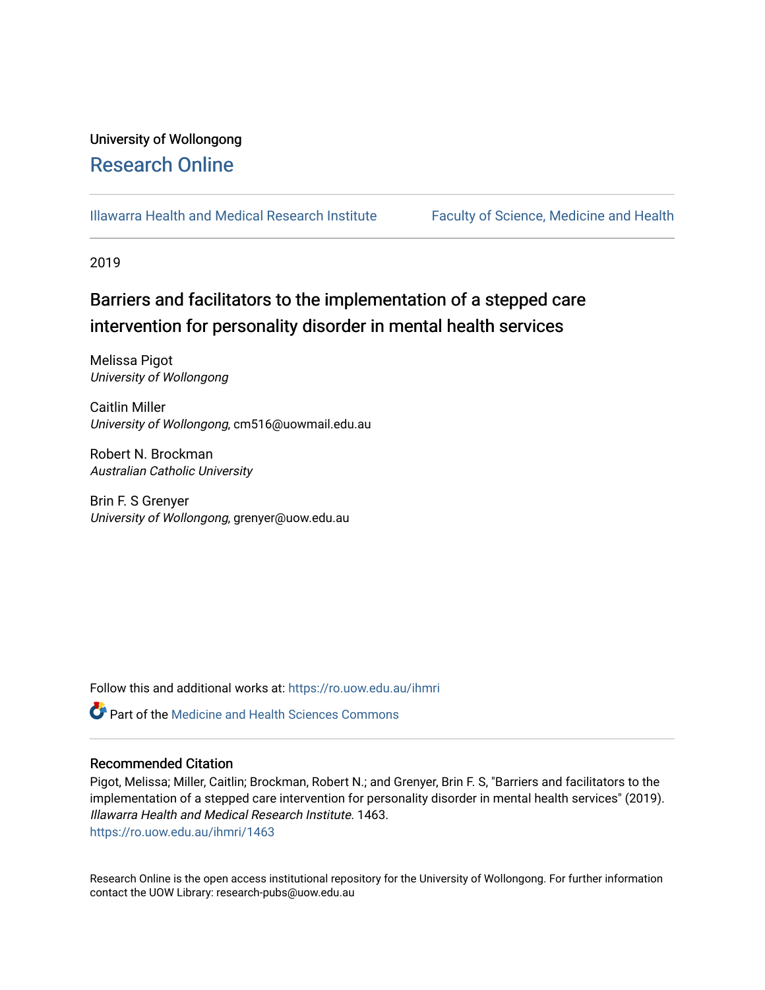## University of Wollongong [Research Online](https://ro.uow.edu.au/)

[Illawarra Health and Medical Research Institute](https://ro.uow.edu.au/ihmri) [Faculty of Science, Medicine and Health](https://ro.uow.edu.au/smh) 

2019

# Barriers and facilitators to the implementation of a stepped care intervention for personality disorder in mental health services

Melissa Pigot University of Wollongong

Caitlin Miller University of Wollongong, cm516@uowmail.edu.au

Robert N. Brockman Australian Catholic University

Brin F. S Grenyer University of Wollongong, grenyer@uow.edu.au

Follow this and additional works at: [https://ro.uow.edu.au/ihmri](https://ro.uow.edu.au/ihmri?utm_source=ro.uow.edu.au%2Fihmri%2F1463&utm_medium=PDF&utm_campaign=PDFCoverPages)

Part of the [Medicine and Health Sciences Commons](http://network.bepress.com/hgg/discipline/648?utm_source=ro.uow.edu.au%2Fihmri%2F1463&utm_medium=PDF&utm_campaign=PDFCoverPages) 

#### Recommended Citation

Pigot, Melissa; Miller, Caitlin; Brockman, Robert N.; and Grenyer, Brin F. S, "Barriers and facilitators to the implementation of a stepped care intervention for personality disorder in mental health services" (2019). Illawarra Health and Medical Research Institute. 1463. [https://ro.uow.edu.au/ihmri/1463](https://ro.uow.edu.au/ihmri/1463?utm_source=ro.uow.edu.au%2Fihmri%2F1463&utm_medium=PDF&utm_campaign=PDFCoverPages) 

Research Online is the open access institutional repository for the University of Wollongong. For further information contact the UOW Library: research-pubs@uow.edu.au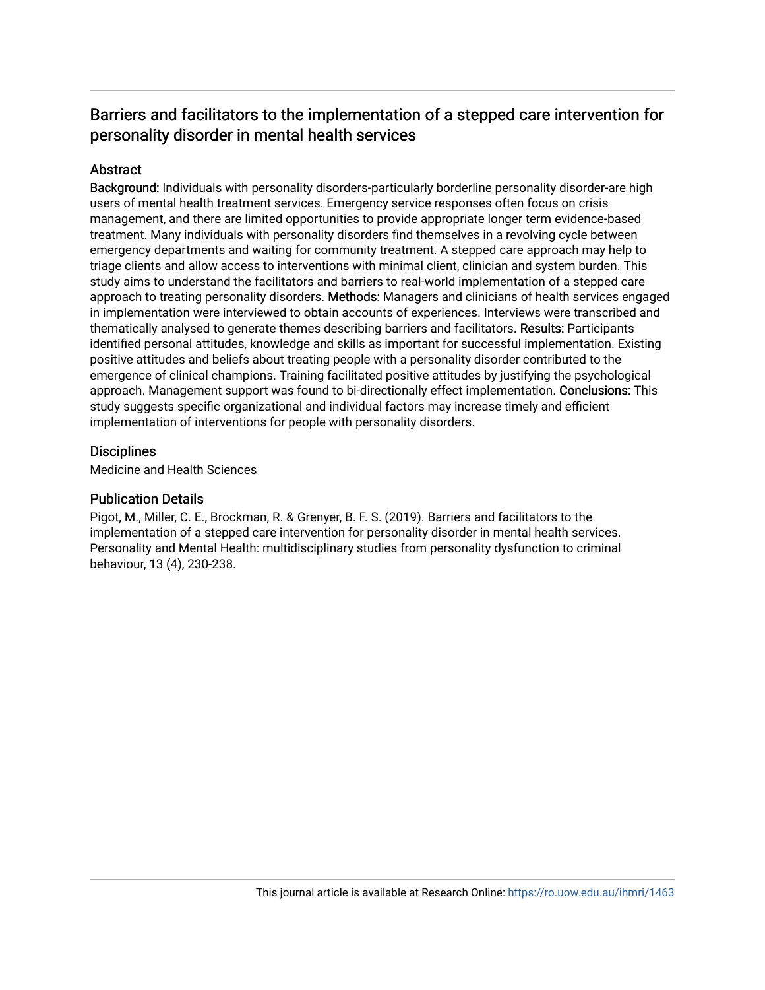## Barriers and facilitators to the implementation of a stepped care intervention for personality disorder in mental health services

## Abstract

Background: Individuals with personality disorders-particularly borderline personality disorder-are high users of mental health treatment services. Emergency service responses often focus on crisis management, and there are limited opportunities to provide appropriate longer term evidence-based treatment. Many individuals with personality disorders find themselves in a revolving cycle between emergency departments and waiting for community treatment. A stepped care approach may help to triage clients and allow access to interventions with minimal client, clinician and system burden. This study aims to understand the facilitators and barriers to real-world implementation of a stepped care approach to treating personality disorders. Methods: Managers and clinicians of health services engaged in implementation were interviewed to obtain accounts of experiences. Interviews were transcribed and thematically analysed to generate themes describing barriers and facilitators. Results: Participants identified personal attitudes, knowledge and skills as important for successful implementation. Existing positive attitudes and beliefs about treating people with a personality disorder contributed to the emergence of clinical champions. Training facilitated positive attitudes by justifying the psychological approach. Management support was found to bi-directionally effect implementation. Conclusions: This study suggests specific organizational and individual factors may increase timely and efficient implementation of interventions for people with personality disorders.

## **Disciplines**

Medicine and Health Sciences

## Publication Details

Pigot, M., Miller, C. E., Brockman, R. & Grenyer, B. F. S. (2019). Barriers and facilitators to the implementation of a stepped care intervention for personality disorder in mental health services. Personality and Mental Health: multidisciplinary studies from personality dysfunction to criminal behaviour, 13 (4), 230-238.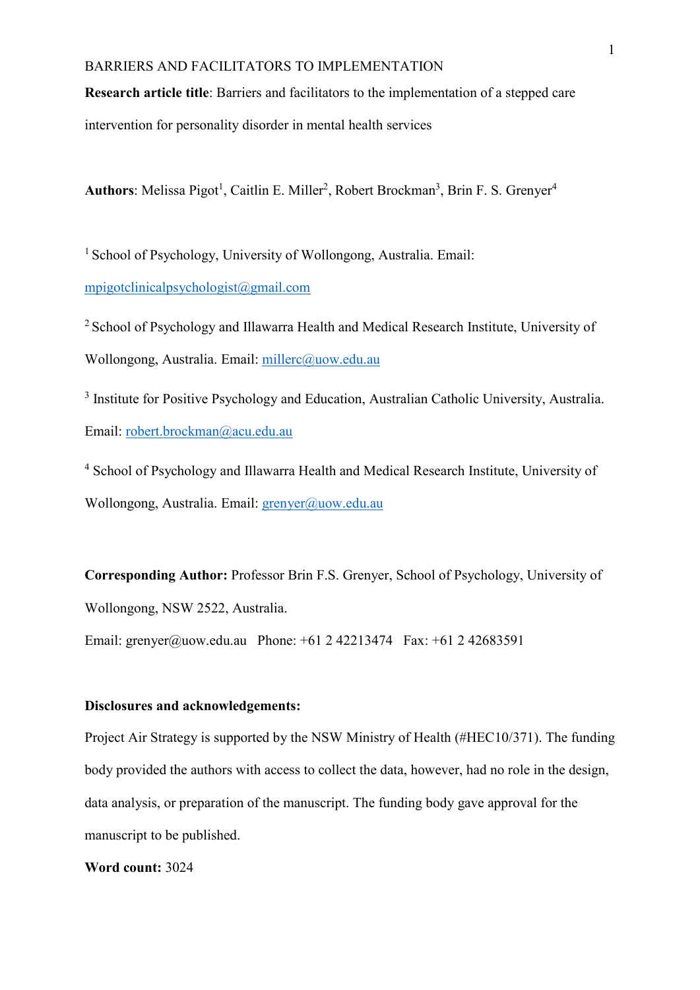**Research article title**: Barriers and facilitators to the implementation of a stepped care

intervention for personality disorder in mental health services

Authors: Melissa Pigot<sup>1</sup>, Caitlin E. Miller<sup>2</sup>, Robert Brockman<sup>3</sup>, Brin F. S. Grenyer<sup>4</sup>

<sup>1</sup> School of Psychology, University of Wollongong, Australia. Email: [mpigotclinicalpsychologist@gmail.com](mailto:mpigotclinicalpsychologist@gmail.com)

2 School of Psychology and Illawarra Health and Medical Research Institute, University of Wollongong, Australia. Email: [millerc@uow.edu.au](mailto:millerc@uow.edu.au)

<sup>3</sup> Institute for Positive Psychology and Education, Australian Catholic University, Australia. Email: [robert.brockman@acu.edu.au](mailto:robert.brockman@acu.edu.au)

<sup>4</sup> School of Psychology and Illawarra Health and Medical Research Institute, University of Wollongong, Australia. Email: [grenyer@uow.edu.au](mailto:grenyer@uow.edu.au)

**Corresponding Author:** Professor Brin F.S. Grenyer, School of Psychology, University of Wollongong, NSW 2522, Australia.

Email: grenyer@uow.edu.au Phone:  $+61 2 42213474$  Fax:  $+61 2 42683591$ 

## **Disclosures and acknowledgements:**

Project Air Strategy is supported by the NSW Ministry of Health (#HEC10/371). The funding body provided the authors with access to collect the data, however, had no role in the design, data analysis, or preparation of the manuscript. The funding body gave approval for the manuscript to be published.

**Word count:** 3024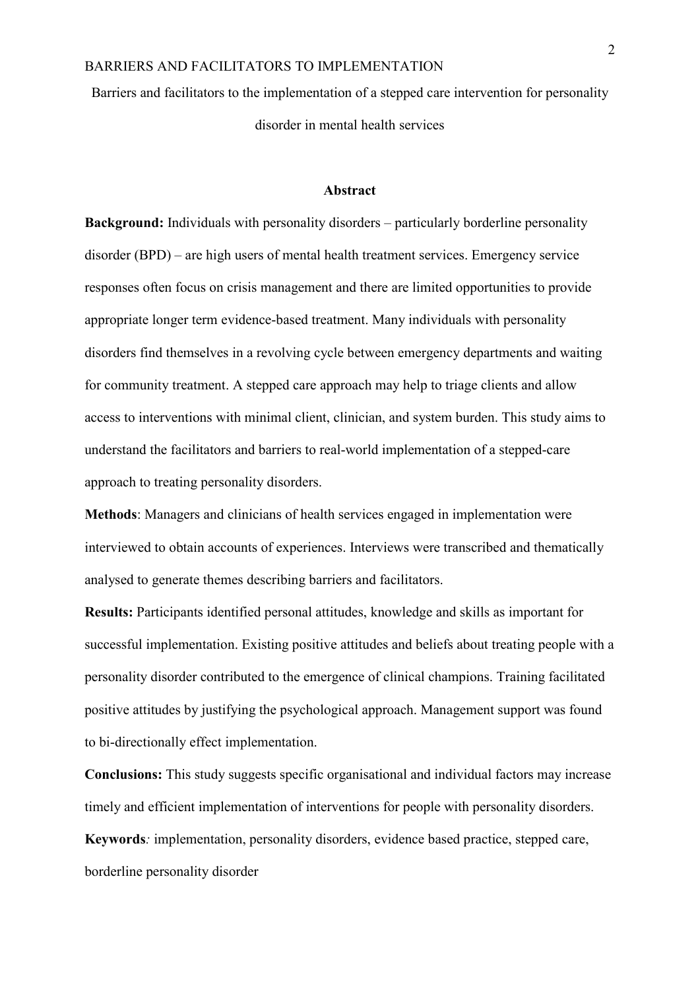Barriers and facilitators to the implementation of a stepped care intervention for personality disorder in mental health services

#### **Abstract**

**Background:** Individuals with personality disorders – particularly borderline personality disorder (BPD) – are high users of mental health treatment services. Emergency service responses often focus on crisis management and there are limited opportunities to provide appropriate longer term evidence-based treatment. Many individuals with personality disorders find themselves in a revolving cycle between emergency departments and waiting for community treatment. A stepped care approach may help to triage clients and allow access to interventions with minimal client, clinician, and system burden. This study aims to understand the facilitators and barriers to real-world implementation of a stepped-care approach to treating personality disorders.

**Methods**: Managers and clinicians of health services engaged in implementation were interviewed to obtain accounts of experiences. Interviews were transcribed and thematically analysed to generate themes describing barriers and facilitators.

**Results:** Participants identified personal attitudes, knowledge and skills as important for successful implementation. Existing positive attitudes and beliefs about treating people with a personality disorder contributed to the emergence of clinical champions. Training facilitated positive attitudes by justifying the psychological approach. Management support was found to bi-directionally effect implementation.

**Conclusions:** This study suggests specific organisational and individual factors may increase timely and efficient implementation of interventions for people with personality disorders. **Keywords***:* implementation, personality disorders, evidence based practice, stepped care, borderline personality disorder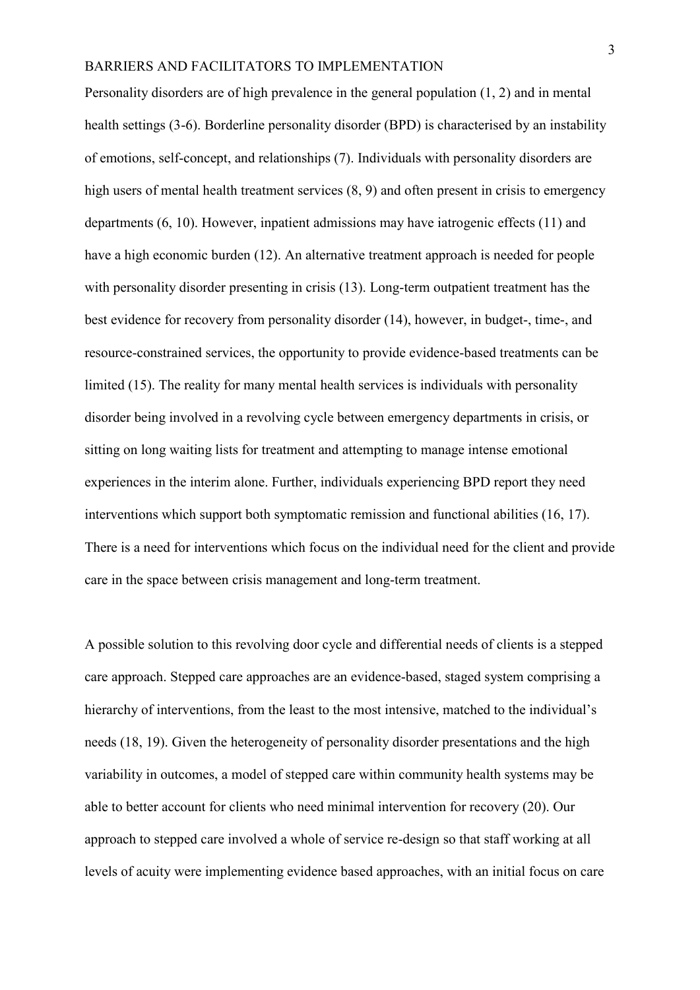Personality disorders are of high prevalence in the general population (1, 2) and in mental health settings (3-6). Borderline personality disorder (BPD) is characterised by an instability of emotions, self-concept, and relationships (7). Individuals with personality disorders are high users of mental health treatment services  $(8, 9)$  and often present in crisis to emergency departments (6, 10). However, inpatient admissions may have iatrogenic effects (11) and have a high economic burden (12). An alternative treatment approach is needed for people with personality disorder presenting in crisis (13). Long-term outpatient treatment has the best evidence for recovery from personality disorder (14), however, in budget-, time-, and resource-constrained services, the opportunity to provide evidence-based treatments can be limited (15). The reality for many mental health services is individuals with personality disorder being involved in a revolving cycle between emergency departments in crisis, or sitting on long waiting lists for treatment and attempting to manage intense emotional experiences in the interim alone. Further, individuals experiencing BPD report they need interventions which support both symptomatic remission and functional abilities (16, 17). There is a need for interventions which focus on the individual need for the client and provide care in the space between crisis management and long-term treatment.

A possible solution to this revolving door cycle and differential needs of clients is a stepped care approach. Stepped care approaches are an evidence-based, staged system comprising a hierarchy of interventions, from the least to the most intensive, matched to the individual's needs (18, 19). Given the heterogeneity of personality disorder presentations and the high variability in outcomes, a model of stepped care within community health systems may be able to better account for clients who need minimal intervention for recovery (20). Our approach to stepped care involved a whole of service re-design so that staff working at all levels of acuity were implementing evidence based approaches, with an initial focus on care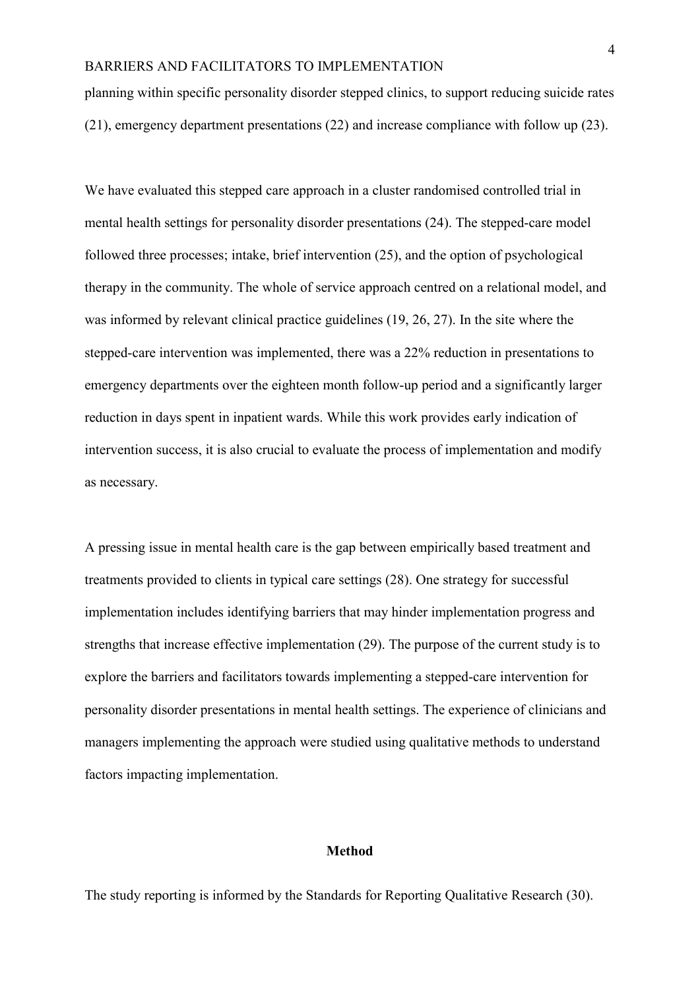planning within specific personality disorder stepped clinics, to support reducing suicide rates (21), emergency department presentations (22) and increase compliance with follow up (23).

We have evaluated this stepped care approach in a cluster randomised controlled trial in mental health settings for personality disorder presentations (24). The stepped-care model followed three processes; intake, brief intervention (25), and the option of psychological therapy in the community. The whole of service approach centred on a relational model, and was informed by relevant clinical practice guidelines (19, 26, 27). In the site where the stepped-care intervention was implemented, there was a 22% reduction in presentations to emergency departments over the eighteen month follow-up period and a significantly larger reduction in days spent in inpatient wards. While this work provides early indication of intervention success, it is also crucial to evaluate the process of implementation and modify as necessary.

A pressing issue in mental health care is the gap between empirically based treatment and treatments provided to clients in typical care settings (28). One strategy for successful implementation includes identifying barriers that may hinder implementation progress and strengths that increase effective implementation (29). The purpose of the current study is to explore the barriers and facilitators towards implementing a stepped-care intervention for personality disorder presentations in mental health settings. The experience of clinicians and managers implementing the approach were studied using qualitative methods to understand factors impacting implementation.

#### **Method**

The study reporting is informed by the Standards for Reporting Qualitative Research (30).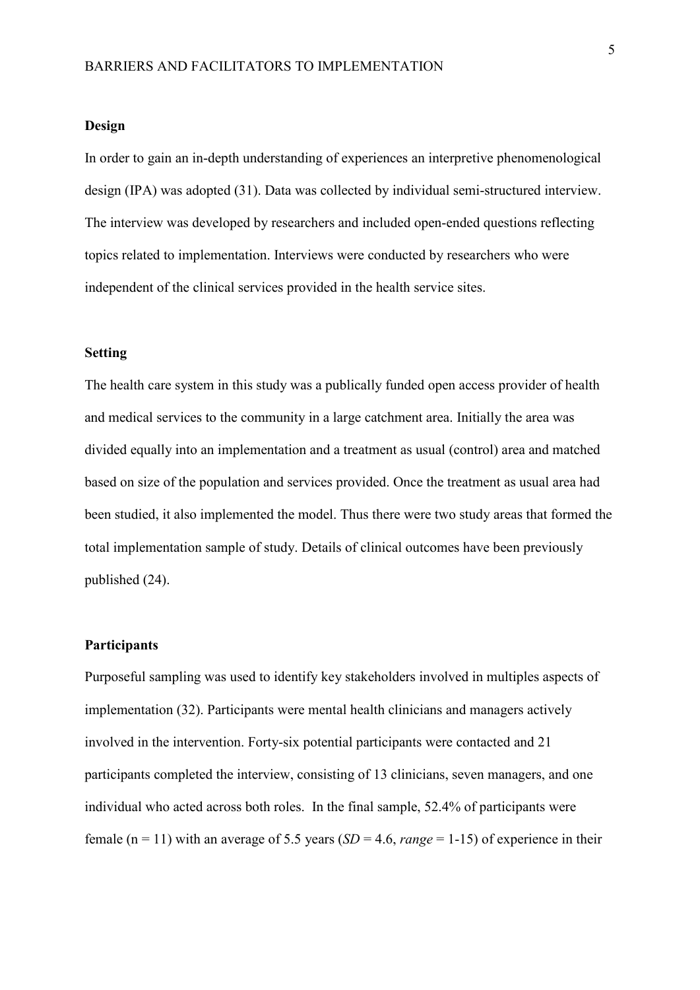#### **Design**

In order to gain an in-depth understanding of experiences an interpretive phenomenological design (IPA) was adopted (31). Data was collected by individual semi-structured interview. The interview was developed by researchers and included open-ended questions reflecting topics related to implementation. Interviews were conducted by researchers who were independent of the clinical services provided in the health service sites.

### **Setting**

The health care system in this study was a publically funded open access provider of health and medical services to the community in a large catchment area. Initially the area was divided equally into an implementation and a treatment as usual (control) area and matched based on size of the population and services provided. Once the treatment as usual area had been studied, it also implemented the model. Thus there were two study areas that formed the total implementation sample of study. Details of clinical outcomes have been previously published (24).

### **Participants**

Purposeful sampling was used to identify key stakeholders involved in multiples aspects of implementation (32). Participants were mental health clinicians and managers actively involved in the intervention. Forty-six potential participants were contacted and 21 participants completed the interview, consisting of 13 clinicians, seven managers, and one individual who acted across both roles. In the final sample, 52.4% of participants were female ( $n = 11$ ) with an average of 5.5 years ( $SD = 4.6$ , *range* = 1-15) of experience in their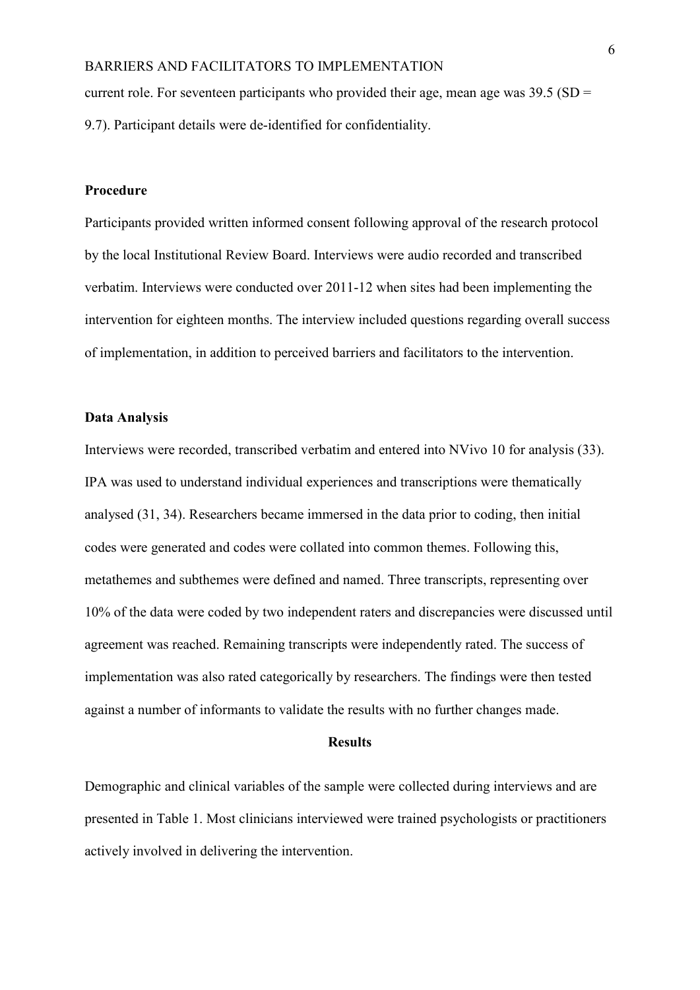current role. For seventeen participants who provided their age, mean age was  $39.5$  (SD = 9.7). Participant details were de-identified for confidentiality.

## **Procedure**

Participants provided written informed consent following approval of the research protocol by the local Institutional Review Board. Interviews were audio recorded and transcribed verbatim. Interviews were conducted over 2011-12 when sites had been implementing the intervention for eighteen months. The interview included questions regarding overall success of implementation, in addition to perceived barriers and facilitators to the intervention.

#### **Data Analysis**

Interviews were recorded, transcribed verbatim and entered into NVivo 10 for analysis (33). IPA was used to understand individual experiences and transcriptions were thematically analysed (31, 34). Researchers became immersed in the data prior to coding, then initial codes were generated and codes were collated into common themes. Following this, metathemes and subthemes were defined and named. Three transcripts, representing over 10% of the data were coded by two independent raters and discrepancies were discussed until agreement was reached. Remaining transcripts were independently rated. The success of implementation was also rated categorically by researchers. The findings were then tested against a number of informants to validate the results with no further changes made.

## **Results**

Demographic and clinical variables of the sample were collected during interviews and are presented in Table 1. Most clinicians interviewed were trained psychologists or practitioners actively involved in delivering the intervention.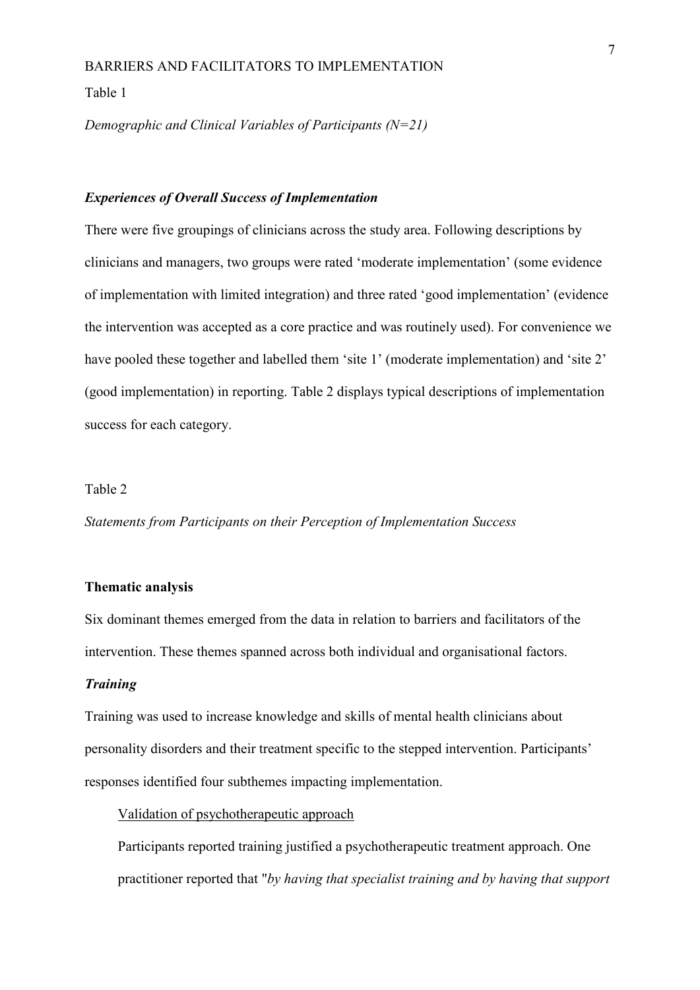Table 1

*Demographic and Clinical Variables of Participants (N=21)*

#### *Experiences of Overall Success of Implementation*

There were five groupings of clinicians across the study area. Following descriptions by clinicians and managers, two groups were rated 'moderate implementation' (some evidence of implementation with limited integration) and three rated 'good implementation' (evidence the intervention was accepted as a core practice and was routinely used). For convenience we have pooled these together and labelled them 'site 1' (moderate implementation) and 'site 2' (good implementation) in reporting. Table 2 displays typical descriptions of implementation success for each category.

#### Table 2

*Statements from Participants on their Perception of Implementation Success*

#### **Thematic analysis**

Six dominant themes emerged from the data in relation to barriers and facilitators of the intervention. These themes spanned across both individual and organisational factors.

## *Training*

Training was used to increase knowledge and skills of mental health clinicians about personality disorders and their treatment specific to the stepped intervention. Participants' responses identified four subthemes impacting implementation.

#### Validation of psychotherapeutic approach

Participants reported training justified a psychotherapeutic treatment approach. One practitioner reported that "*by having that specialist training and by having that support*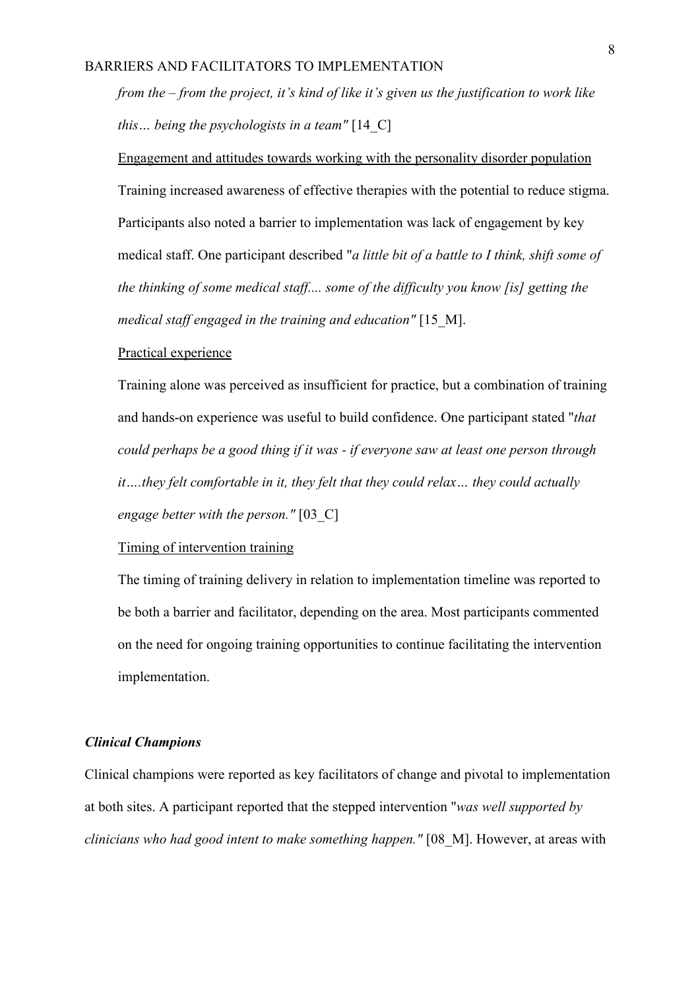*from the – from the project, it's kind of like it's given us the justification to work like this… being the psychologists in a team"* [14\_C]

Engagement and attitudes towards working with the personality disorder population Training increased awareness of effective therapies with the potential to reduce stigma. Participants also noted a barrier to implementation was lack of engagement by key medical staff. One participant described "*a little bit of a battle to I think, shift some of the thinking of some medical staff.... some of the difficulty you know [is] getting the medical staff engaged in the training and education"* [15\_M].

#### Practical experience

Training alone was perceived as insufficient for practice, but a combination of training and hands-on experience was useful to build confidence. One participant stated "*that could perhaps be a good thing if it was - if everyone saw at least one person through it….they felt comfortable in it, they felt that they could relax… they could actually engage better with the person."* [03\_C]

## Timing of intervention training

The timing of training delivery in relation to implementation timeline was reported to be both a barrier and facilitator, depending on the area. Most participants commented on the need for ongoing training opportunities to continue facilitating the intervention implementation.

#### *Clinical Champions*

Clinical champions were reported as key facilitators of change and pivotal to implementation at both sites. A participant reported that the stepped intervention "*was well supported by clinicians who had good intent to make something happen."* [08\_M]. However, at areas with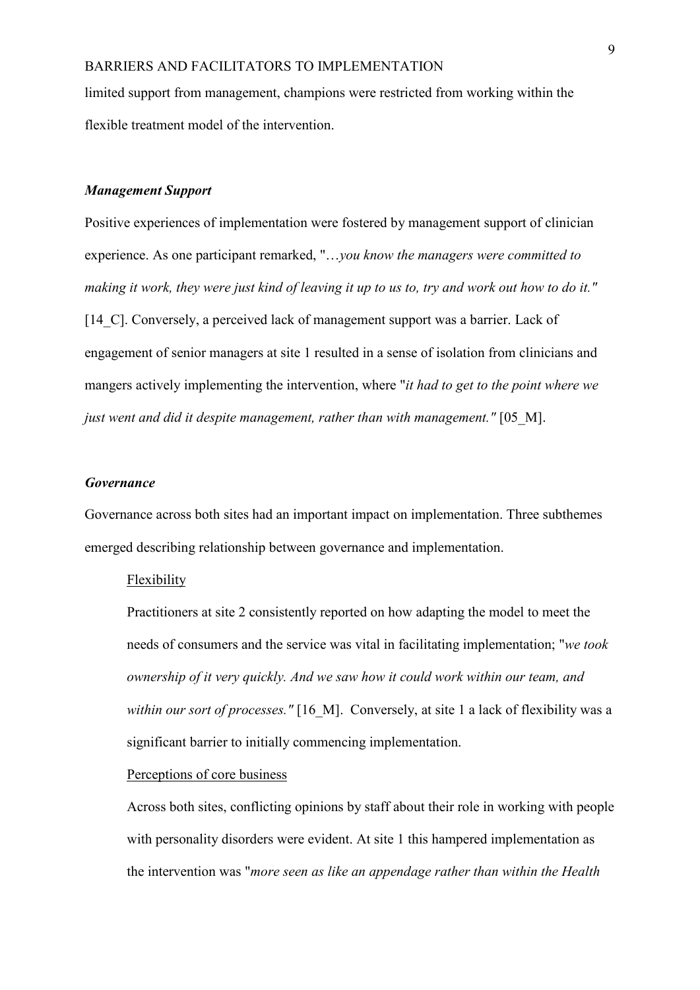limited support from management, champions were restricted from working within the flexible treatment model of the intervention.

### *Management Support*

Positive experiences of implementation were fostered by management support of clinician experience. As one participant remarked, "…*you know the managers were committed to making it work, they were just kind of leaving it up to us to, try and work out how to do it."* [14 C]. Conversely, a perceived lack of management support was a barrier. Lack of engagement of senior managers at site 1 resulted in a sense of isolation from clinicians and mangers actively implementing the intervention, where "*it had to get to the point where we just went and did it despite management, rather than with management."* [05\_M].

## *Governance*

Governance across both sites had an important impact on implementation. Three subthemes emerged describing relationship between governance and implementation.

#### Flexibility

Practitioners at site 2 consistently reported on how adapting the model to meet the needs of consumers and the service was vital in facilitating implementation; "*we took ownership of it very quickly. And we saw how it could work within our team, and within our sort of processes."* [16 M]. Conversely, at site 1 a lack of flexibility was a significant barrier to initially commencing implementation.

#### Perceptions of core business

Across both sites, conflicting opinions by staff about their role in working with people with personality disorders were evident. At site 1 this hampered implementation as the intervention was "*more seen as like an appendage rather than within the Health*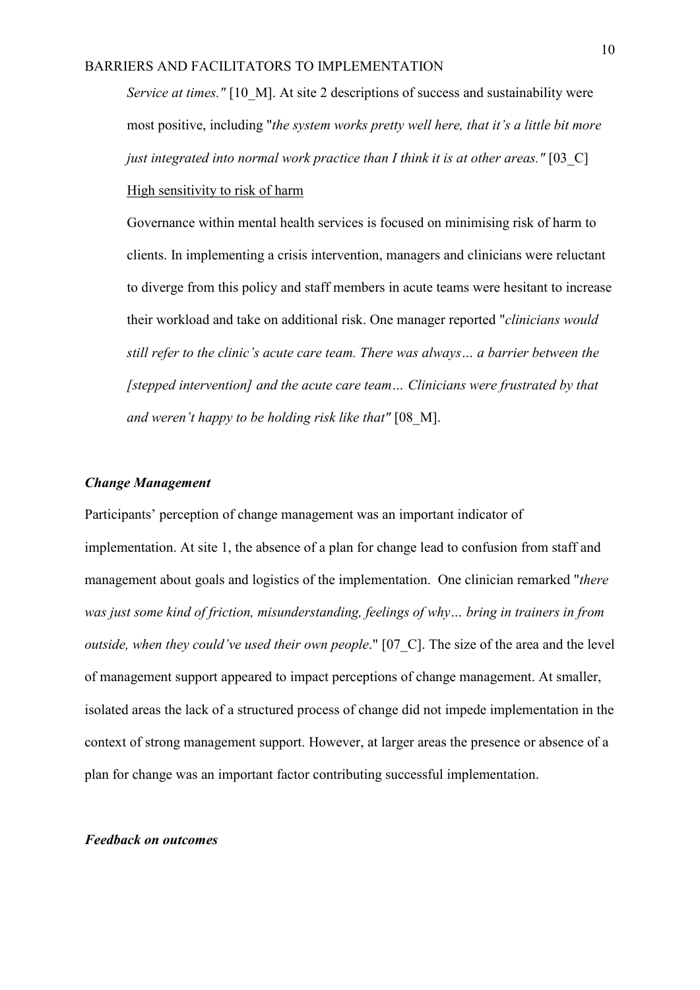*Service at times."* [10 M]. At site 2 descriptions of success and sustainability were most positive, including "*the system works pretty well here, that it's a little bit more just integrated into normal work practice than I think it is at other areas."* [03 C] High sensitivity to risk of harm

Governance within mental health services is focused on minimising risk of harm to clients. In implementing a crisis intervention, managers and clinicians were reluctant to diverge from this policy and staff members in acute teams were hesitant to increase their workload and take on additional risk. One manager reported "*clinicians would still refer to the clinic's acute care team. There was always… a barrier between the [stepped intervention] and the acute care team… Clinicians were frustrated by that and weren't happy to be holding risk like that"* [08 M].

## *Change Management*

Participants' perception of change management was an important indicator of implementation. At site 1, the absence of a plan for change lead to confusion from staff and management about goals and logistics of the implementation. One clinician remarked "*there was just some kind of friction, misunderstanding, feelings of why… bring in trainers in from outside, when they could've used their own people*." [07 C]. The size of the area and the level of management support appeared to impact perceptions of change management. At smaller, isolated areas the lack of a structured process of change did not impede implementation in the context of strong management support. However, at larger areas the presence or absence of a plan for change was an important factor contributing successful implementation.

#### *Feedback on outcomes*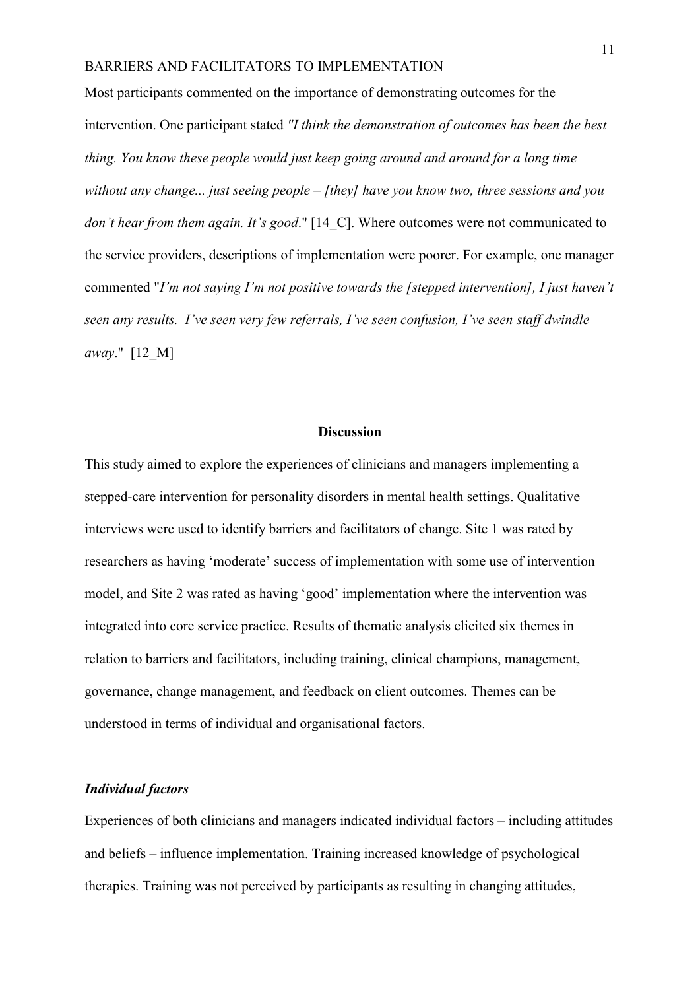Most participants commented on the importance of demonstrating outcomes for the intervention. One participant stated *"I think the demonstration of outcomes has been the best thing. You know these people would just keep going around and around for a long time without any change... just seeing people – [they] have you know two, three sessions and you don't hear from them again. It's good.*" [14 C]. Where outcomes were not communicated to the service providers, descriptions of implementation were poorer. For example, one manager commented "*I'm not saying I'm not positive towards the [stepped intervention], I just haven't seen any results. I've seen very few referrals, I've seen confusion, I've seen staff dwindle away*." [12\_M]

#### **Discussion**

This study aimed to explore the experiences of clinicians and managers implementing a stepped-care intervention for personality disorders in mental health settings. Qualitative interviews were used to identify barriers and facilitators of change. Site 1 was rated by researchers as having 'moderate' success of implementation with some use of intervention model, and Site 2 was rated as having 'good' implementation where the intervention was integrated into core service practice. Results of thematic analysis elicited six themes in relation to barriers and facilitators, including training, clinical champions, management, governance, change management, and feedback on client outcomes. Themes can be understood in terms of individual and organisational factors.

#### *Individual factors*

Experiences of both clinicians and managers indicated individual factors – including attitudes and beliefs – influence implementation. Training increased knowledge of psychological therapies. Training was not perceived by participants as resulting in changing attitudes,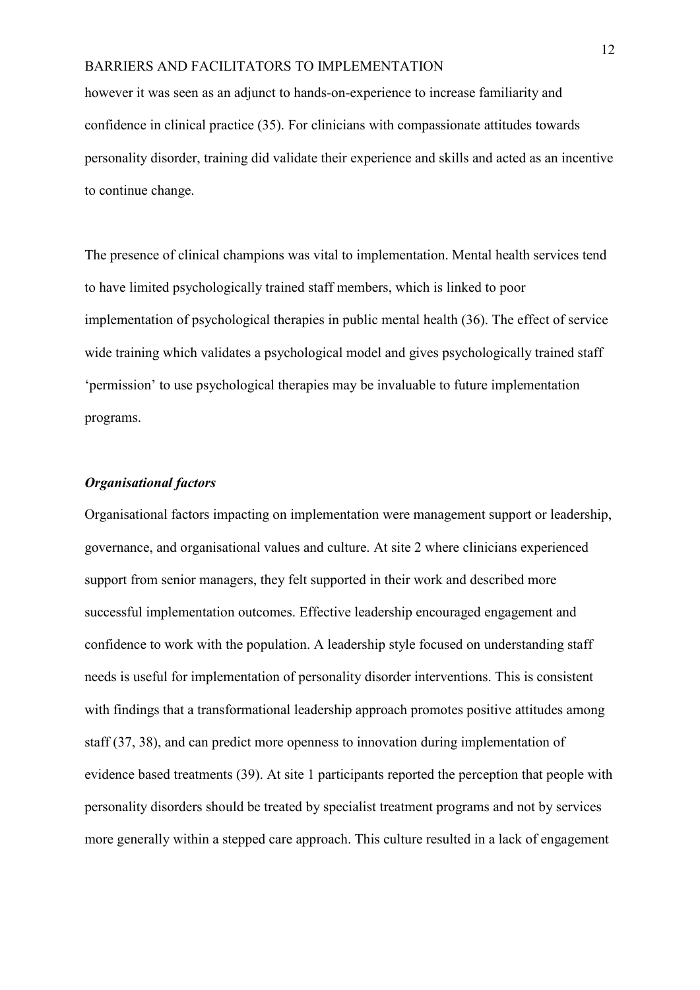however it was seen as an adjunct to hands-on-experience to increase familiarity and confidence in clinical practice (35). For clinicians with compassionate attitudes towards personality disorder, training did validate their experience and skills and acted as an incentive to continue change.

The presence of clinical champions was vital to implementation. Mental health services tend to have limited psychologically trained staff members, which is linked to poor implementation of psychological therapies in public mental health (36). The effect of service wide training which validates a psychological model and gives psychologically trained staff 'permission' to use psychological therapies may be invaluable to future implementation programs.

## *Organisational factors*

Organisational factors impacting on implementation were management support or leadership, governance, and organisational values and culture. At site 2 where clinicians experienced support from senior managers, they felt supported in their work and described more successful implementation outcomes. Effective leadership encouraged engagement and confidence to work with the population. A leadership style focused on understanding staff needs is useful for implementation of personality disorder interventions. This is consistent with findings that a transformational leadership approach promotes positive attitudes among staff (37, 38), and can predict more openness to innovation during implementation of evidence based treatments (39). At site 1 participants reported the perception that people with personality disorders should be treated by specialist treatment programs and not by services more generally within a stepped care approach. This culture resulted in a lack of engagement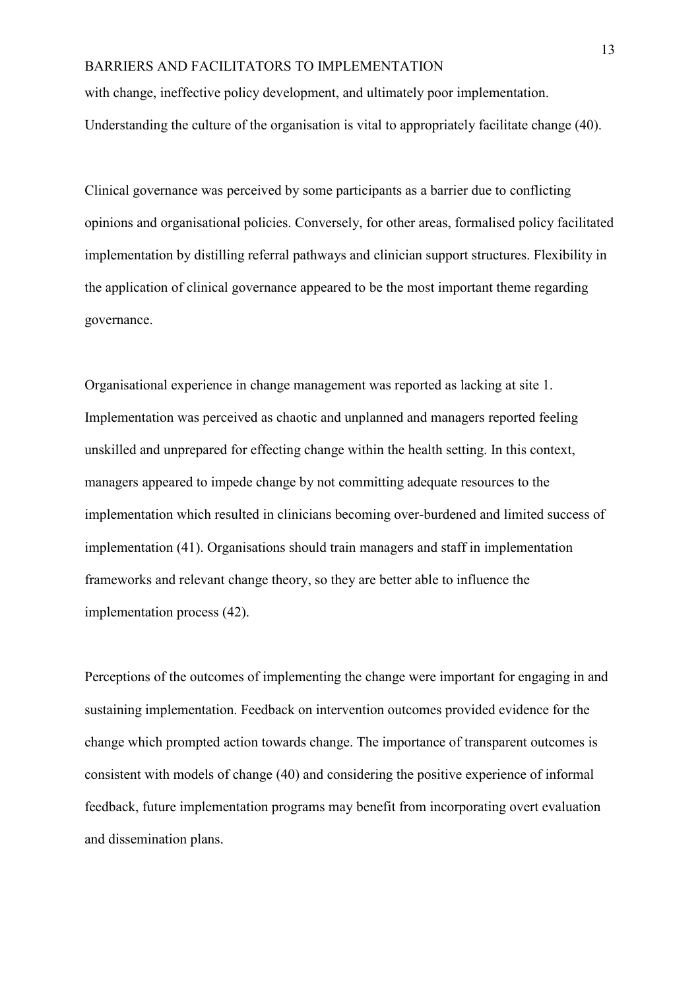with change, ineffective policy development, and ultimately poor implementation. Understanding the culture of the organisation is vital to appropriately facilitate change (40).

Clinical governance was perceived by some participants as a barrier due to conflicting opinions and organisational policies. Conversely, for other areas, formalised policy facilitated implementation by distilling referral pathways and clinician support structures. Flexibility in the application of clinical governance appeared to be the most important theme regarding governance.

Organisational experience in change management was reported as lacking at site 1. Implementation was perceived as chaotic and unplanned and managers reported feeling unskilled and unprepared for effecting change within the health setting. In this context, managers appeared to impede change by not committing adequate resources to the implementation which resulted in clinicians becoming over-burdened and limited success of implementation (41). Organisations should train managers and staff in implementation frameworks and relevant change theory, so they are better able to influence the implementation process (42).

Perceptions of the outcomes of implementing the change were important for engaging in and sustaining implementation. Feedback on intervention outcomes provided evidence for the change which prompted action towards change. The importance of transparent outcomes is consistent with models of change (40) and considering the positive experience of informal feedback, future implementation programs may benefit from incorporating overt evaluation and dissemination plans.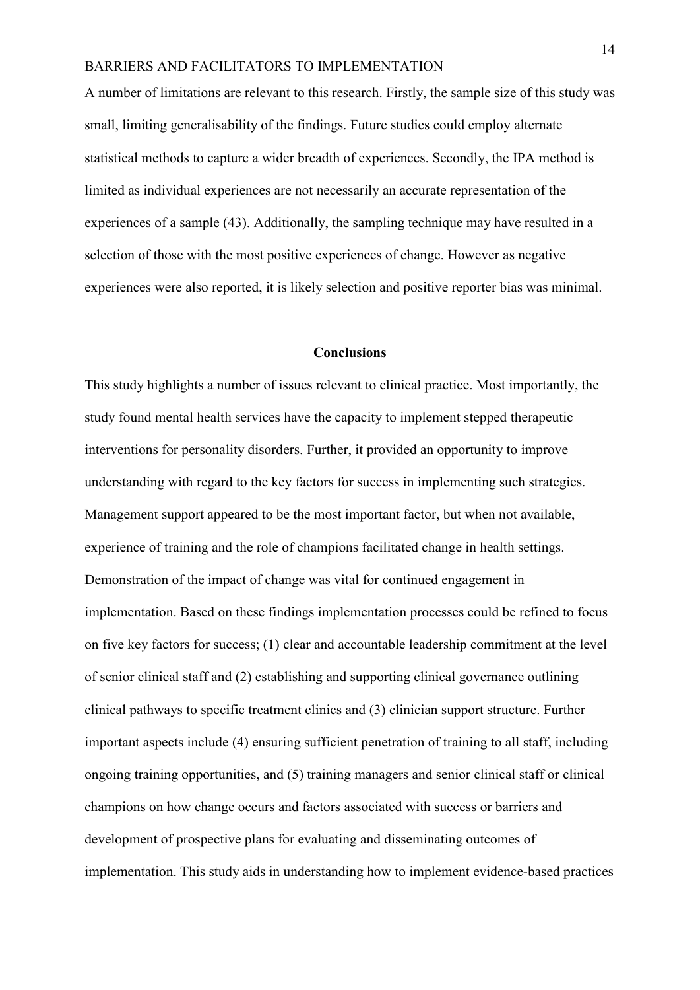A number of limitations are relevant to this research. Firstly, the sample size of this study was small, limiting generalisability of the findings. Future studies could employ alternate statistical methods to capture a wider breadth of experiences. Secondly, the IPA method is limited as individual experiences are not necessarily an accurate representation of the experiences of a sample (43). Additionally, the sampling technique may have resulted in a selection of those with the most positive experiences of change. However as negative experiences were also reported, it is likely selection and positive reporter bias was minimal.

#### **Conclusions**

This study highlights a number of issues relevant to clinical practice. Most importantly, the study found mental health services have the capacity to implement stepped therapeutic interventions for personality disorders. Further, it provided an opportunity to improve understanding with regard to the key factors for success in implementing such strategies. Management support appeared to be the most important factor, but when not available, experience of training and the role of champions facilitated change in health settings. Demonstration of the impact of change was vital for continued engagement in implementation. Based on these findings implementation processes could be refined to focus on five key factors for success; (1) clear and accountable leadership commitment at the level of senior clinical staff and (2) establishing and supporting clinical governance outlining clinical pathways to specific treatment clinics and (3) clinician support structure. Further important aspects include (4) ensuring sufficient penetration of training to all staff, including ongoing training opportunities, and (5) training managers and senior clinical staff or clinical champions on how change occurs and factors associated with success or barriers and development of prospective plans for evaluating and disseminating outcomes of implementation. This study aids in understanding how to implement evidence-based practices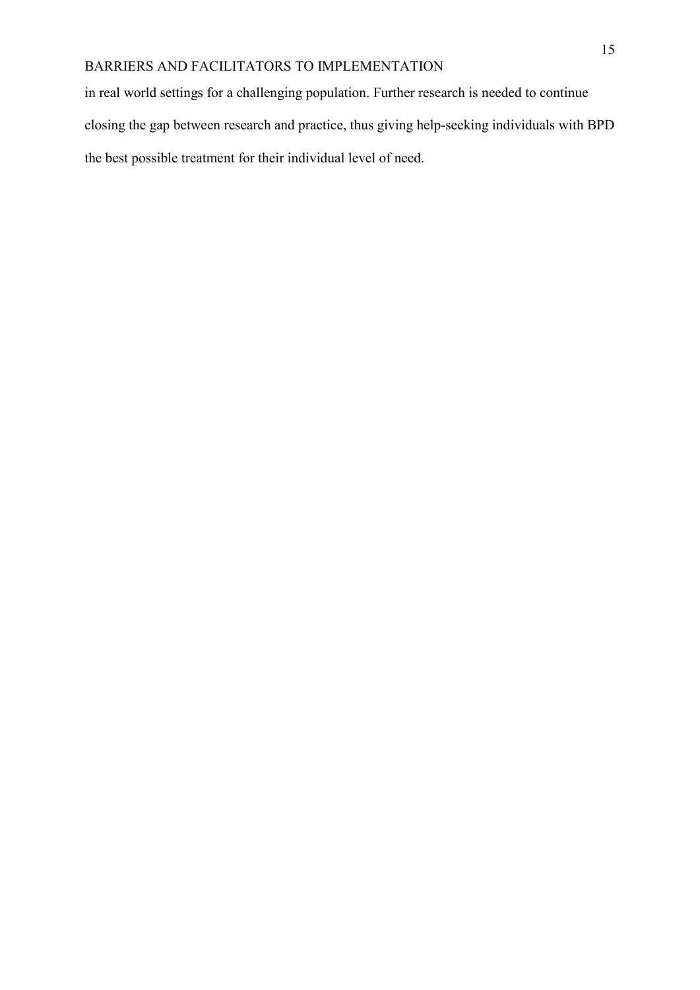in real world settings for a challenging population. Further research is needed to continue closing the gap between research and practice, thus giving help-seeking individuals with BPD the best possible treatment for their individual level of need.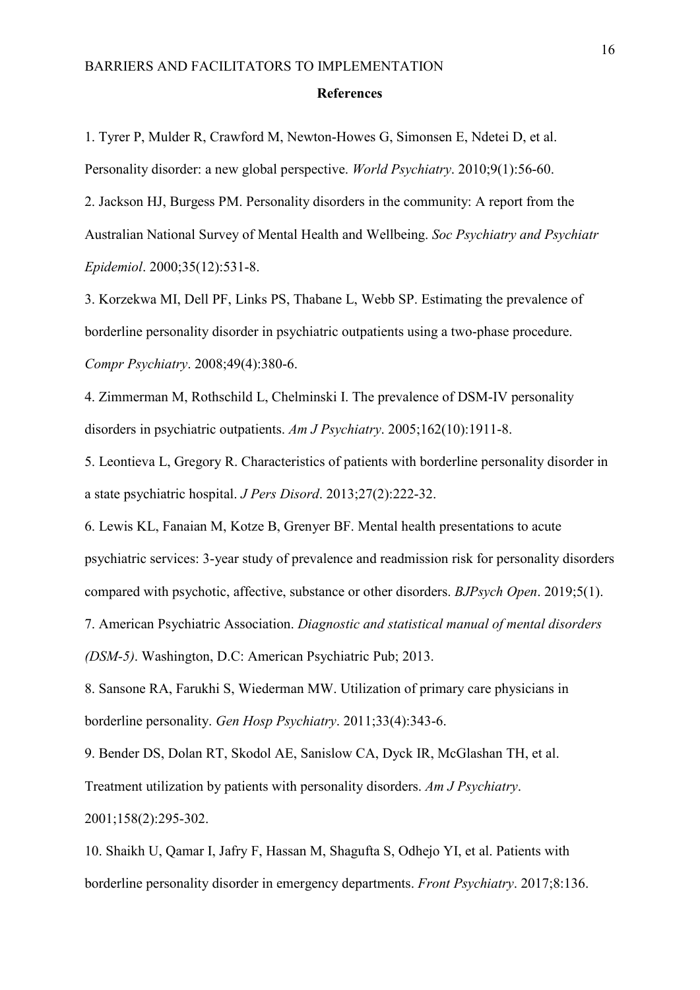#### **References**

1. Tyrer P, Mulder R, Crawford M, Newton-Howes G, Simonsen E, Ndetei D, et al. Personality disorder: a new global perspective. *World Psychiatry*. 2010;9(1):56-60.

2. Jackson HJ, Burgess PM. Personality disorders in the community: A report from the Australian National Survey of Mental Health and Wellbeing. *Soc Psychiatry and Psychiatr Epidemiol*. 2000;35(12):531-8.

3. Korzekwa MI, Dell PF, Links PS, Thabane L, Webb SP. Estimating the prevalence of borderline personality disorder in psychiatric outpatients using a two-phase procedure. *Compr Psychiatry*. 2008;49(4):380-6.

4. Zimmerman M, Rothschild L, Chelminski I. The prevalence of DSM-IV personality disorders in psychiatric outpatients. *Am J Psychiatry*. 2005;162(10):1911-8.

5. Leontieva L, Gregory R. Characteristics of patients with borderline personality disorder in a state psychiatric hospital. *J Pers Disord*. 2013;27(2):222-32.

6. Lewis KL, Fanaian M, Kotze B, Grenyer BF. Mental health presentations to acute psychiatric services: 3-year study of prevalence and readmission risk for personality disorders compared with psychotic, affective, substance or other disorders. *BJPsych Open*. 2019;5(1). 7. American Psychiatric Association. *Diagnostic and statistical manual of mental disorders* 

*(DSM-5)*. Washington, D.C: American Psychiatric Pub; 2013.

8. Sansone RA, Farukhi S, Wiederman MW. Utilization of primary care physicians in borderline personality. *Gen Hosp Psychiatry*. 2011;33(4):343-6.

9. Bender DS, Dolan RT, Skodol AE, Sanislow CA, Dyck IR, McGlashan TH, et al.

Treatment utilization by patients with personality disorders. *Am J Psychiatry*.

2001;158(2):295-302.

10. Shaikh U, Qamar I, Jafry F, Hassan M, Shagufta S, Odhejo YI, et al. Patients with borderline personality disorder in emergency departments. *Front Psychiatry*. 2017;8:136.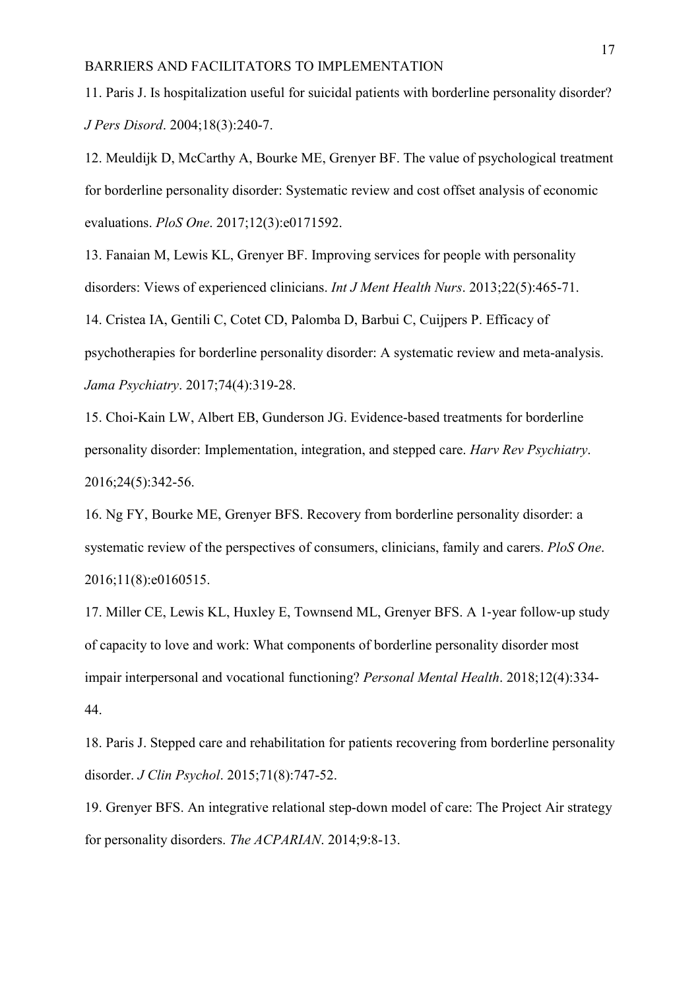11. Paris J. Is hospitalization useful for suicidal patients with borderline personality disorder? *J Pers Disord*. 2004;18(3):240-7.

12. Meuldijk D, McCarthy A, Bourke ME, Grenyer BF. The value of psychological treatment for borderline personality disorder: Systematic review and cost offset analysis of economic evaluations. *PloS One*. 2017;12(3):e0171592.

13. Fanaian M, Lewis KL, Grenyer BF. Improving services for people with personality disorders: Views of experienced clinicians. *Int J Ment Health Nurs*. 2013;22(5):465-71.

14. Cristea IA, Gentili C, Cotet CD, Palomba D, Barbui C, Cuijpers P. Efficacy of psychotherapies for borderline personality disorder: A systematic review and meta-analysis. *Jama Psychiatry*. 2017;74(4):319-28.

15. Choi-Kain LW, Albert EB, Gunderson JG. Evidence-based treatments for borderline personality disorder: Implementation, integration, and stepped care. *Harv Rev Psychiatry*. 2016;24(5):342-56.

16. Ng FY, Bourke ME, Grenyer BFS. Recovery from borderline personality disorder: a systematic review of the perspectives of consumers, clinicians, family and carers. *PloS One*. 2016;11(8):e0160515.

17. Miller CE, Lewis KL, Huxley E, Townsend ML, Grenyer BFS. A 1‐year follow‐up study of capacity to love and work: What components of borderline personality disorder most impair interpersonal and vocational functioning? *Personal Mental Health*. 2018;12(4):334- 44.

18. Paris J. Stepped care and rehabilitation for patients recovering from borderline personality disorder. *J Clin Psychol*. 2015;71(8):747-52.

19. Grenyer BFS. An integrative relational step-down model of care: The Project Air strategy for personality disorders. *The ACPARIAN*. 2014;9:8-13.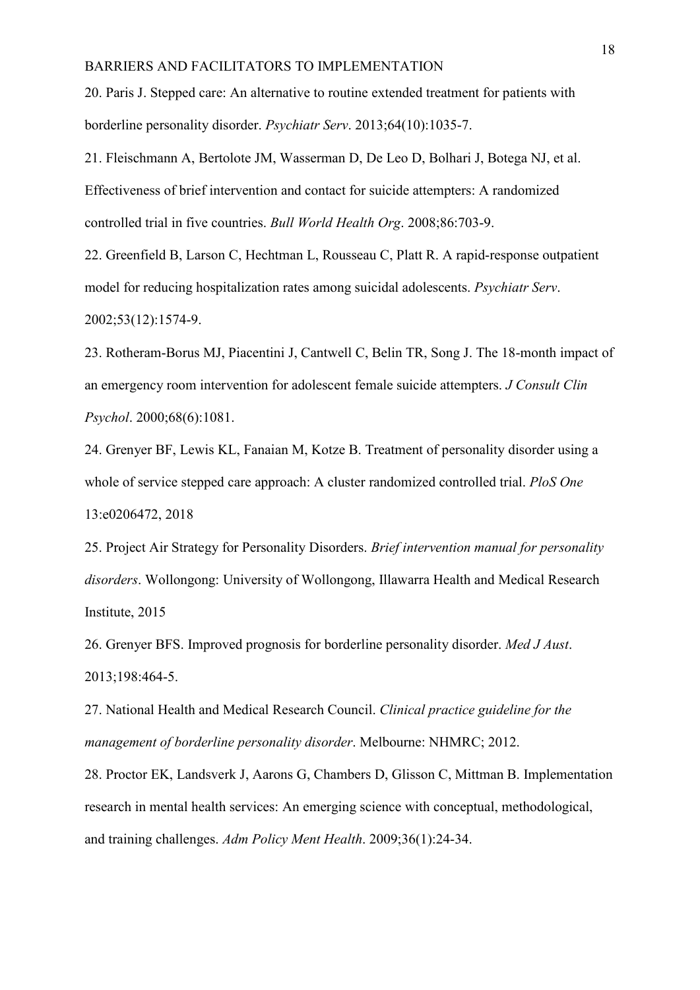20. Paris J. Stepped care: An alternative to routine extended treatment for patients with borderline personality disorder. *Psychiatr Serv*. 2013;64(10):1035-7.

21. Fleischmann A, Bertolote JM, Wasserman D, De Leo D, Bolhari J, Botega NJ, et al. Effectiveness of brief intervention and contact for suicide attempters: A randomized controlled trial in five countries. *Bull World Health Org*. 2008;86:703-9.

22. Greenfield B, Larson C, Hechtman L, Rousseau C, Platt R. A rapid-response outpatient model for reducing hospitalization rates among suicidal adolescents. *Psychiatr Serv*. 2002;53(12):1574-9.

23. Rotheram-Borus MJ, Piacentini J, Cantwell C, Belin TR, Song J. The 18-month impact of an emergency room intervention for adolescent female suicide attempters. *J Consult Clin Psychol*. 2000;68(6):1081.

24. Grenyer BF, Lewis KL, Fanaian M, Kotze B. Treatment of personality disorder using a whole of service stepped care approach: A cluster randomized controlled trial. *PloS One* 13:e0206472, 2018

25. Project Air Strategy for Personality Disorders. *Brief intervention manual for personality disorders*. Wollongong: University of Wollongong, Illawarra Health and Medical Research Institute, 2015

26. Grenyer BFS. Improved prognosis for borderline personality disorder. *Med J Aust*. 2013;198:464-5.

27. National Health and Medical Research Council. *Clinical practice guideline for the management of borderline personality disorder*. Melbourne: NHMRC; 2012.

28. Proctor EK, Landsverk J, Aarons G, Chambers D, Glisson C, Mittman B. Implementation research in mental health services: An emerging science with conceptual, methodological, and training challenges. *Adm Policy Ment Health*. 2009;36(1):24-34.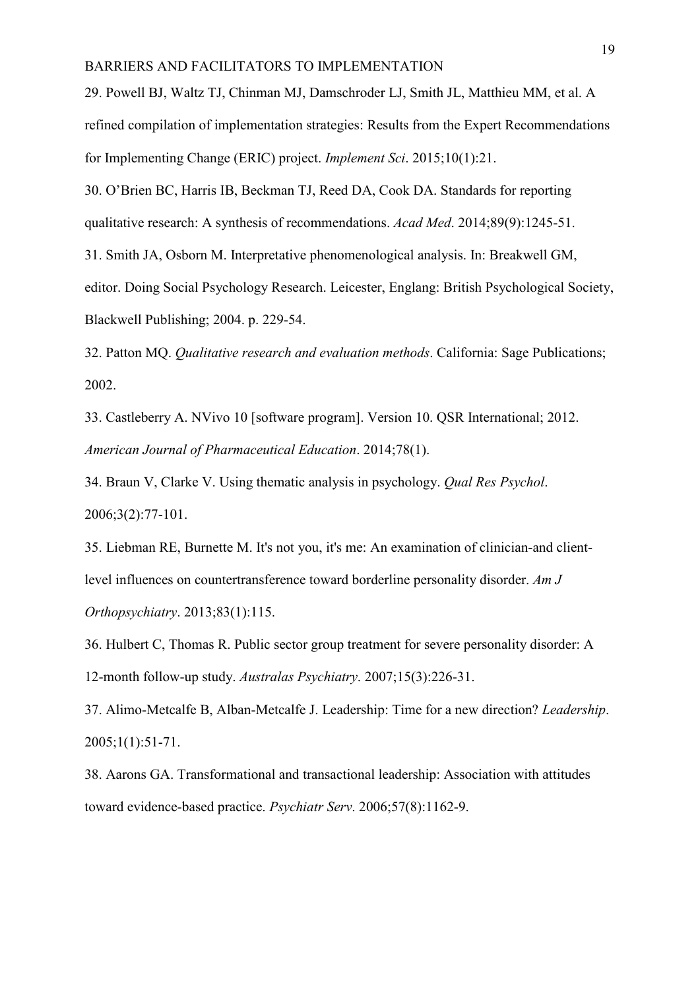29. Powell BJ, Waltz TJ, Chinman MJ, Damschroder LJ, Smith JL, Matthieu MM, et al. A refined compilation of implementation strategies: Results from the Expert Recommendations for Implementing Change (ERIC) project. *Implement Sci*. 2015;10(1):21.

30. O'Brien BC, Harris IB, Beckman TJ, Reed DA, Cook DA. Standards for reporting qualitative research: A synthesis of recommendations. *Acad Med*. 2014;89(9):1245-51.

31. Smith JA, Osborn M. Interpretative phenomenological analysis. In: Breakwell GM,

editor. Doing Social Psychology Research. Leicester, Englang: British Psychological Society, Blackwell Publishing; 2004. p. 229-54.

32. Patton MQ. *Qualitative research and evaluation methods*. California: Sage Publications; 2002.

33. Castleberry A. NVivo 10 [software program]. Version 10. QSR International; 2012. *American Journal of Pharmaceutical Education*. 2014;78(1).

34. Braun V, Clarke V. Using thematic analysis in psychology. *Qual Res Psychol*. 2006;3(2):77-101.

35. Liebman RE, Burnette M. It's not you, it's me: An examination of clinician-and clientlevel influences on countertransference toward borderline personality disorder. *Am J Orthopsychiatry*. 2013;83(1):115.

36. Hulbert C, Thomas R. Public sector group treatment for severe personality disorder: A 12-month follow-up study. *Australas Psychiatry*. 2007;15(3):226-31.

37. Alimo-Metcalfe B, Alban-Metcalfe J. Leadership: Time for a new direction? *Leadership*. 2005;1(1):51-71.

38. Aarons GA. Transformational and transactional leadership: Association with attitudes toward evidence-based practice. *Psychiatr Serv*. 2006;57(8):1162-9.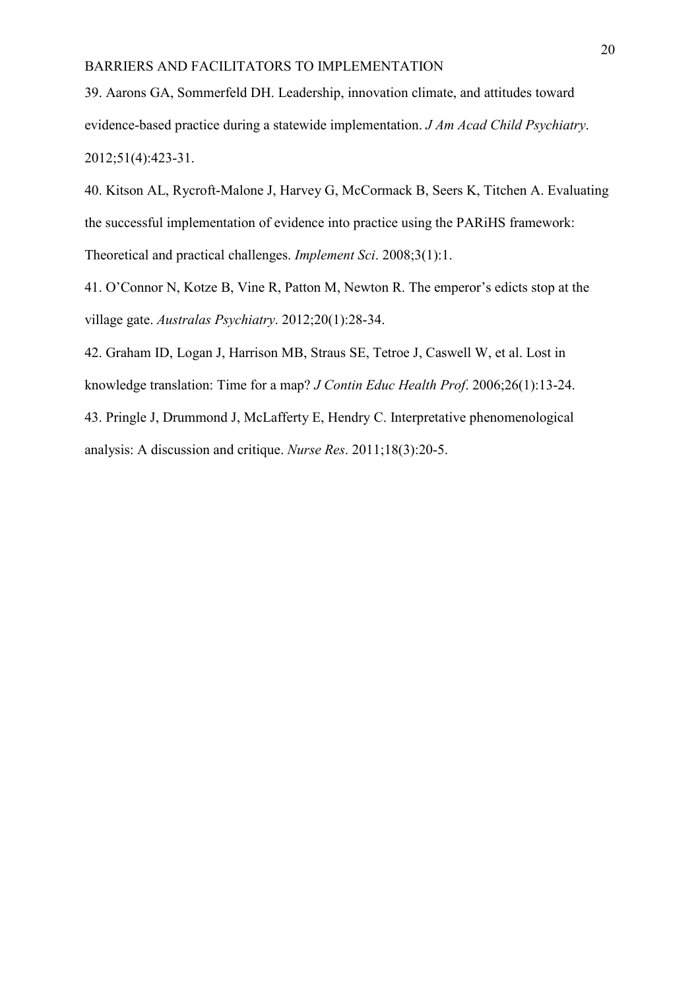39. Aarons GA, Sommerfeld DH. Leadership, innovation climate, and attitudes toward evidence-based practice during a statewide implementation. *J Am Acad Child Psychiatry*. 2012;51(4):423-31.

40. Kitson AL, Rycroft-Malone J, Harvey G, McCormack B, Seers K, Titchen A. Evaluating the successful implementation of evidence into practice using the PARiHS framework: Theoretical and practical challenges. *Implement Sci*. 2008;3(1):1.

41. O'Connor N, Kotze B, Vine R, Patton M, Newton R. The emperor's edicts stop at the village gate. *Australas Psychiatry*. 2012;20(1):28-34.

42. Graham ID, Logan J, Harrison MB, Straus SE, Tetroe J, Caswell W, et al. Lost in knowledge translation: Time for a map? *J Contin Educ Health Prof*. 2006;26(1):13-24.

43. Pringle J, Drummond J, McLafferty E, Hendry C. Interpretative phenomenological analysis: A discussion and critique. *Nurse Res*. 2011;18(3):20-5.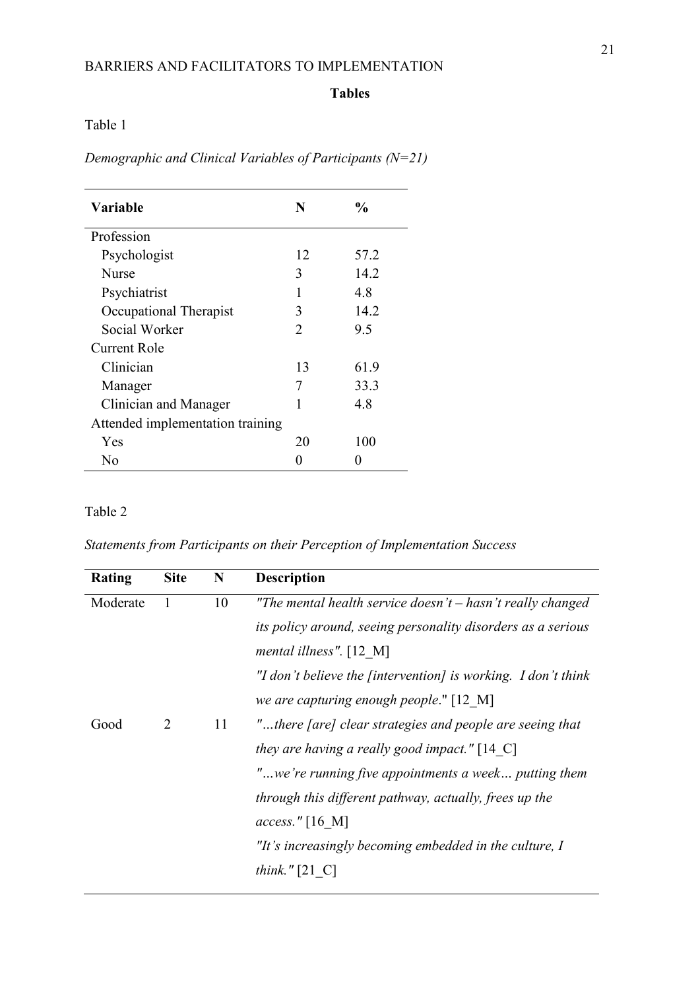## **Tables**

 $\overline{\phantom{a}}$ 

Table 1

*Demographic and Clinical Variables of Participants (N=21)*

| Variable                         | N  | $\frac{0}{0}$ |  |  |
|----------------------------------|----|---------------|--|--|
| Profession                       |    |               |  |  |
| Psychologist                     | 12 | 57.2          |  |  |
| <b>Nurse</b>                     | 3  | 14.2          |  |  |
| Psychiatrist                     |    | 4.8           |  |  |
| Occupational Therapist           | 3  | 14.2          |  |  |
| Social Worker                    | 2  | 9.5           |  |  |
| Current Role                     |    |               |  |  |
| Clinician                        | 13 | 61.9          |  |  |
| Manager                          | 7  | 33.3          |  |  |
| Clinician and Manager            |    | 4.8           |  |  |
| Attended implementation training |    |               |  |  |
| Yes                              | 20 | 100           |  |  |
| Nο                               |    |               |  |  |

## Table 2

*Statements from Participants on their Perception of Implementation Success*

| Rating   | <b>Site</b> | N  | <b>Description</b>                                            |
|----------|-------------|----|---------------------------------------------------------------|
| Moderate | -1          | 10 | "The mental health service doesn't $-$ hasn't really changed  |
|          |             |    | its policy around, seeing personality disorders as a serious  |
|          |             |    | mental illness". $[12 \text{ M}]$                             |
|          |             |    | "I don't believe the fintervention] is working. I don't think |
|          |             |    | we are capturing enough people." [12 M]                       |
| Good     | 2           | 11 | "there [are] clear strategies and people are seeing that      |
|          |             |    | they are having a really good impact." [14 $\text{C}$ ]       |
|          |             |    | "we're running five appointments a week putting them          |
|          |             |    | <i>through this different pathway, actually, frees up the</i> |
|          |             |    | access." $[16 \text{ M}]$                                     |
|          |             |    | "It's increasingly becoming embedded in the culture, I        |
|          |             |    | think." $[21 \ C]$                                            |
|          |             |    |                                                               |